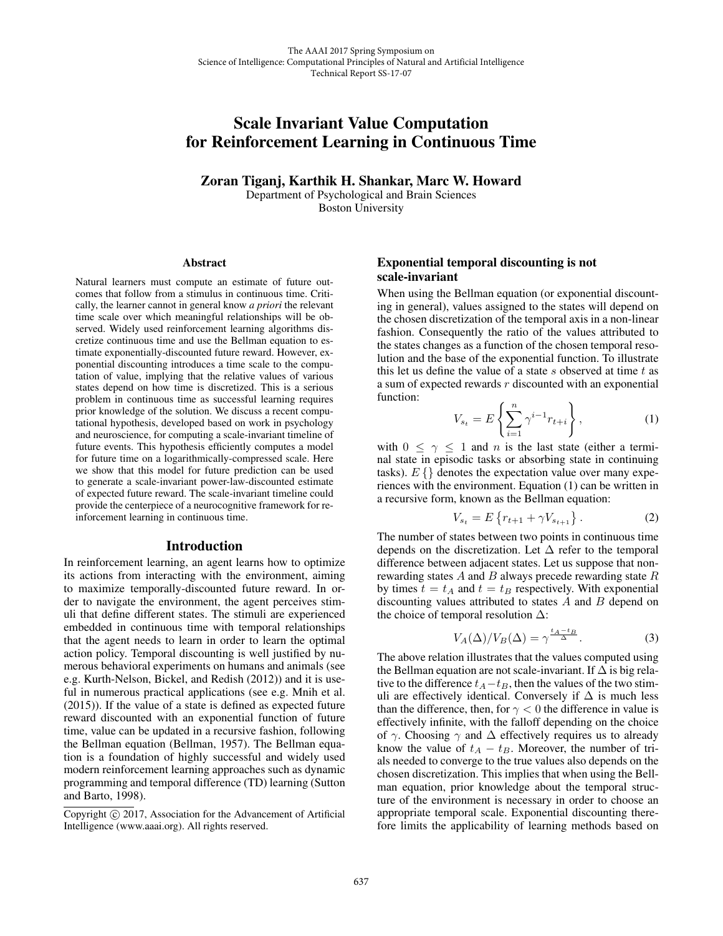# Scale Invariant Value Computation for Reinforcement Learning in Continuous Time

Zoran Tiganj, Karthik H. Shankar, Marc W. Howard Department of Psychological and Brain Sciences Boston University

#### Abstract

Natural learners must compute an estimate of future outcomes that follow from a stimulus in continuous time. Critically, the learner cannot in general know *a priori* the relevant time scale over which meaningful relationships will be observed. Widely used reinforcement learning algorithms discretize continuous time and use the Bellman equation to estimate exponentially-discounted future reward. However, exponential discounting introduces a time scale to the computation of value, implying that the relative values of various states depend on how time is discretized. This is a serious problem in continuous time as successful learning requires prior knowledge of the solution. We discuss a recent computational hypothesis, developed based on work in psychology and neuroscience, for computing a scale-invariant timeline of future events. This hypothesis efficiently computes a model for future time on a logarithmically-compressed scale. Here we show that this model for future prediction can be used to generate a scale-invariant power-law-discounted estimate of expected future reward. The scale-invariant timeline could provide the centerpiece of a neurocognitive framework for reinforcement learning in continuous time.

#### Introduction

In reinforcement learning, an agent learns how to optimize its actions from interacting with the environment, aiming to maximize temporally-discounted future reward. In order to navigate the environment, the agent perceives stimuli that define different states. The stimuli are experienced embedded in continuous time with temporal relationships that the agent needs to learn in order to learn the optimal action policy. Temporal discounting is well justified by numerous behavioral experiments on humans and animals (see e.g. Kurth-Nelson, Bickel, and Redish (2012)) and it is useful in numerous practical applications (see e.g. Mnih et al. (2015)). If the value of a state is defined as expected future reward discounted with an exponential function of future time, value can be updated in a recursive fashion, following the Bellman equation (Bellman, 1957). The Bellman equation is a foundation of highly successful and widely used modern reinforcement learning approaches such as dynamic programming and temporal difference (TD) learning (Sutton and Barto, 1998).

## Exponential temporal discounting is not scale-invariant

When using the Bellman equation (or exponential discounting in general), values assigned to the states will depend on the chosen discretization of the temporal axis in a non-linear fashion. Consequently the ratio of the values attributed to the states changes as a function of the chosen temporal resolution and the base of the exponential function. To illustrate this let us define the value of a state  $s$  observed at time  $t$  as a sum of expected rewards  $r$  discounted with an exponential function:

$$
V_{s_t} = E\left\{\sum_{i=1}^n \gamma^{i-1} r_{t+i}\right\},\tag{1}
$$

with  $0 \leq \gamma \leq 1$  and n is the last state (either a terminal state in episodic tasks or absorbing state in continuing tasks).  $E\{\}$  denotes the expectation value over many experiences with the environment. Equation (1) can be written in a recursive form, known as the Bellman equation:

$$
V_{s_t} = E\left\{r_{t+1} + \gamma V_{s_{t+1}}\right\}.
$$
 (2)

The number of states between two points in continuous time depends on the discretization. Let  $\Delta$  refer to the temporal difference between adjacent states. Let us suppose that nonrewarding states  $A$  and  $B$  always precede rewarding state  $R$ by times  $t = t_A$  and  $t = t_B$  respectively. With exponential discounting values attributed to states A and B depend on the choice of temporal resolution  $\Delta$ :

$$
V_A(\Delta)/V_B(\Delta) = \gamma^{\frac{t_A - t_B}{\Delta}}.
$$
 (3)

The above relation illustrates that the values computed using the Bellman equation are not scale-invariant. If  $\Delta$  is big relative to the difference  $t_A-t_B$ , then the values of the two stimuli are effectively identical. Conversely if  $\Delta$  is much less than the difference, then, for  $\gamma < 0$  the difference in value is effectively infinite, with the falloff depending on the choice of  $\gamma$ . Choosing  $\gamma$  and  $\Delta$  effectively requires us to already know the value of  $t_A - t_B$ . Moreover, the number of trials needed to converge to the true values also depends on the chosen discretization. This implies that when using the Bellman equation, prior knowledge about the temporal structure of the environment is necessary in order to choose an appropriate temporal scale. Exponential discounting therefore limits the applicability of learning methods based on

Copyright  $\odot$  2017, Association for the Advancement of Artificial Intelligence (www.aaai.org). All rights reserved.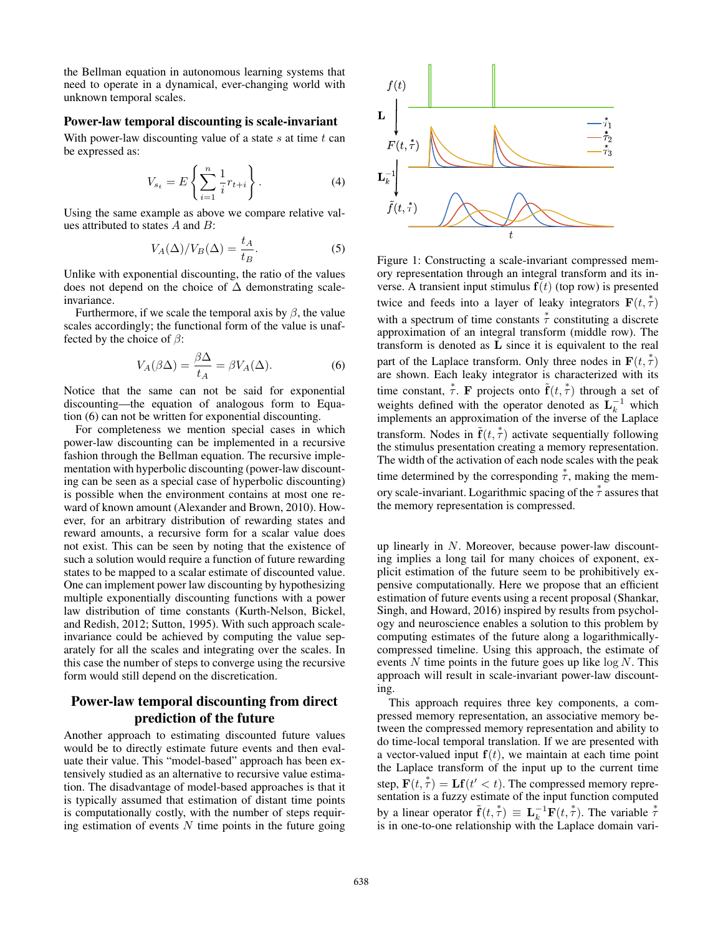the Bellman equation in autonomous learning systems that need to operate in a dynamical, ever-changing world with unknown temporal scales.

#### Power-law temporal discounting is scale-invariant

With power-law discounting value of a state  $s$  at time  $t$  can be expressed as:

$$
V_{s_t} = E\left\{\sum_{i=1}^n \frac{1}{i} r_{t+i}\right\}.
$$
 (4)

Using the same example as above we compare relative values attributed to states A and B:

$$
V_A(\Delta)/V_B(\Delta) = \frac{t_A}{t_B}.\tag{5}
$$

Unlike with exponential discounting, the ratio of the values does not depend on the choice of  $\Delta$  demonstrating scaleinvariance.

Furthermore, if we scale the temporal axis by  $\beta$ , the value scales accordingly; the functional form of the value is unaffected by the choice of  $\beta$ :

$$
V_A(\beta \Delta) = \frac{\beta \Delta}{t_A} = \beta V_A(\Delta). \tag{6}
$$

Notice that the same can not be said for exponential discounting—the equation of analogous form to Equation (6) can not be written for exponential discounting.

For completeness we mention special cases in which power-law discounting can be implemented in a recursive fashion through the Bellman equation. The recursive implementation with hyperbolic discounting (power-law discounting can be seen as a special case of hyperbolic discounting) is possible when the environment contains at most one reward of known amount (Alexander and Brown, 2010). However, for an arbitrary distribution of rewarding states and reward amounts, a recursive form for a scalar value does not exist. This can be seen by noting that the existence of such a solution would require a function of future rewarding states to be mapped to a scalar estimate of discounted value. One can implement power law discounting by hypothesizing multiple exponentially discounting functions with a power law distribution of time constants (Kurth-Nelson, Bickel, and Redish, 2012; Sutton, 1995). With such approach scaleinvariance could be achieved by computing the value separately for all the scales and integrating over the scales. In this case the number of steps to converge using the recursive form would still depend on the discretication.

# Power-law temporal discounting from direct prediction of the future

Another approach to estimating discounted future values would be to directly estimate future events and then evaluate their value. This "model-based" approach has been extensively studied as an alternative to recursive value estimation. The disadvantage of model-based approaches is that it is typically assumed that estimation of distant time points is computationally costly, with the number of steps requiring estimation of events  $N$  time points in the future going



Figure 1: Constructing a scale-invariant compressed memory representation through an integral transform and its inverse. A transient input stimulus  $f(t)$  (top row) is presented twice and feeds into a layer of leaky integrators  $\mathbf{F}(t, \tau)$ with a spectrum of time constants  $\stackrel{*}{\tau}$  constituting a discrete approximation of an integral transform (middle row). The transform is denoted as **L** since it is equivalent to the real part of the Laplace transform. Only three nodes in  $\mathbf{F}(t, \tau)$  are shown. Each leaky integrator is characterized with its are shown. Each leaky integrator is characterized with its time constant,  $\overset{*}{\tau}$ . **F** projects onto  $\tilde{\mathbf{f}}(t, \overset{*}{\tau})$  through a set of<br>weights defined with the operator denoted as  $\mathbf{L}^{-1}$  which weights defined with the operator denoted as  $L_k^{-1}$  which implements an approximation of the inverse of the Laplace transform. Nodes in  $\tilde{\mathbf{f}}(t, \dot{\tau})$  activate sequentially following<br>the stimulus presentation creating a memory representation the stimulus presentation creating a memory representation. The width of the activation of each node scales with the peak time determined by the corresponding  $\overset{*}{\tau}$ , making the memory scale-invariant. Logarithmic spacing of the  $\overset{*}{\tau}$  assures that the memory representation is compressed.

up linearly in N. Moreover, because power-law discounting implies a long tail for many choices of exponent, explicit estimation of the future seem to be prohibitively expensive computationally. Here we propose that an efficient estimation of future events using a recent proposal (Shankar, Singh, and Howard, 2016) inspired by results from psychology and neuroscience enables a solution to this problem by computing estimates of the future along a logarithmicallycompressed timeline. Using this approach, the estimate of events  $N$  time points in the future goes up like  $\log N$ . This approach will result in scale-invariant power-law discounting.

This approach requires three key components, a compressed memory representation, an associative memory between the compressed memory representation and ability to do time-local temporal translation. If we are presented with a vector-valued input  $f(t)$ , we maintain at each time point the Laplace transform of the input up to the current time step,  $\mathbf{F}(t, \tau) = \mathbf{L} \mathbf{f}(t' < t)$ . The compressed memory representation is a fuzzy estimate of the input function computed sentation is a fuzzy estimate of the input function computed by a linear operator  $\tilde{\mathbf{f}}(t, \tau) \equiv \mathbf{L}_k^{-1} \mathbf{F}(t, \tau)$ . The variable  $\tau$  is in one-to-one relationship with the Laplace domain variis in one-to-one relationship with the Laplace domain vari-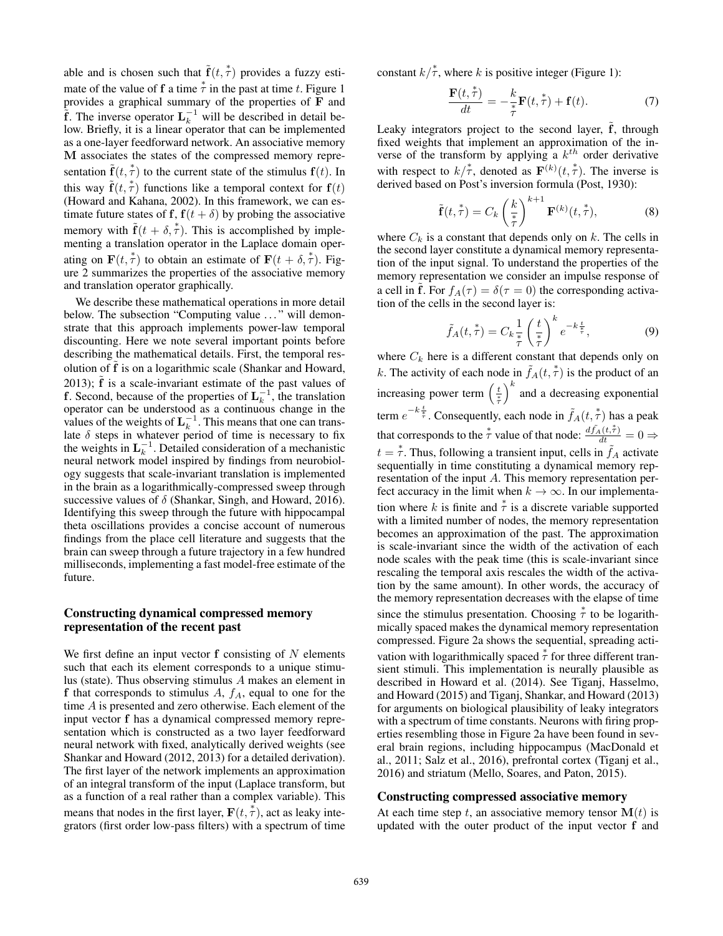able and is chosen such that  $\tilde{\mathbf{f}}(t, \dot{\tilde{\tau}})$  provides a fuzzy esti-<br>that is the value of  $\mathbf{f}_s$  a time  $\dot{\tilde{\tau}}$  in the next of time t. Figure 1. mate of the value of **f** a time  $\overset{*}{\tau}$  in the past at time t. Figure 1 provides a graphical summary of the properties of **F** and  $\tilde{f}$ . The inverse operator  $L_k^{-1}$  will be described in detail be-<br>low Briggly it is a linear approach that are beginning property low. Briefly, it is a linear operator that can be implemented as a one-layer feedforward network. An associative memory **M** associates the states of the compressed memory representation  $\tilde{\mathbf{f}}(t, \dot{\tilde{\tau}})$  to the current state of the stimulus  $\mathbf{f}(t)$ . In this way  $\tilde{\mathbf{f}}(t, \dot{\tilde{\tau}})$  functions like a temporal context for  $\mathbf{f}(t)$ <br>(Howard and Kahana 2002) In this framework, we can es-(Howard and Kahana, 2002). In this framework, we can estimate future states of **f**,  $f(t + \delta)$  by probing the associative memory with  $\tilde{\mathbf{f}}(t + \delta, \dot{\tau})$ . This is accomplished by imple-<br>menting a translation operator in the Laplace domain opermenting a translation operator in the Laplace domain operating on  $\mathbf{F}(t, \tau)$  to obtain an estimate of  $\mathbf{F}(t + \delta, \tau)$ . Fig-<br>ure 2 summarizes the properties of the associative memory ure 2 summarizes the properties of the associative memory and translation operator graphically.

We describe these mathematical operations in more detail below. The subsection "Computing value ..." will demonstrate that this approach implements power-law temporal discounting. Here we note several important points before describing the mathematical details. First, the temporal resolution of f is on a logarithmic scale (Shankar and Howard, 2013);  $\hat{f}$  is a scale-invariant estimate of the past values of **f**. Second, because of the properties of  $\mathbf{L}_k^{-1}$ , the translation operator can be understood as a continuous change in the values of the weights of  $L_k^{-1}$ . This means that one can translate  $\delta$  steps in whatever period of time is necessary to fix the weights in  $L_k^{-1}$ . Detailed consideration of a mechanistic neural network model inspired by findings from neurobiology suggests that scale-invariant translation is implemented in the brain as a logarithmically-compressed sweep through successive values of  $\delta$  (Shankar, Singh, and Howard, 2016). Identifying this sweep through the future with hippocampal theta oscillations provides a concise account of numerous findings from the place cell literature and suggests that the brain can sweep through a future trajectory in a few hundred milliseconds, implementing a fast model-free estimate of the future.

## Constructing dynamical compressed memory representation of the recent past

We first define an input vector  $f$  consisting of  $N$  elements such that each its element corresponds to a unique stimulus (state). Thus observing stimulus A makes an element in **f** that corresponds to stimulus  $A$ ,  $f_A$ , equal to one for the time A is presented and zero otherwise. Each element of the input vector **f** has a dynamical compressed memory representation which is constructed as a two layer feedforward neural network with fixed, analytically derived weights (see Shankar and Howard (2012, 2013) for a detailed derivation). The first layer of the network implements an approximation of an integral transform of the input (Laplace transform, but as a function of a real rather than a complex variable). This means that nodes in the first layer,  $\mathbf{F}(t, \tau)$ , act as leaky inte-<br>grators (first order low-pass filters) with a spectrum of time grators (first order low-pass filters) with a spectrum of time constant  $k/\tau$ , where k is positive integer (Figure 1):

$$
\frac{\mathbf{F}(t,\overset{*}{\tau})}{dt} = -\frac{k}{\overset{*}{\tau}}\mathbf{F}(t,\overset{*}{\tau}) + \mathbf{f}(t). \tag{7}
$$

Leaky integrators project to the second layer,  $\tilde{f}$ , through fixed weights that implement an approximation of the inverse of the transform by applying a  $k^{th}$  order derivative with respect to  $k/\tau$ , denoted as  $\mathbf{F}^{(k)}(t, \tau)$ . The inverse is derived based on Post's inversion formula (Post 1930). derived based on Post's inversion formula (Post, 1930):

$$
\tilde{\mathbf{f}}(t,\stackrel{*}{\tau}) = C_k \left(\frac{k}{\stackrel{*}{\tau}}\right)^{k+1} \mathbf{F}^{(k)}(t,\stackrel{*}{\tau}),\tag{8}
$$

where  $C_k$  is a constant that depends only on k. The cells in the second layer constitute a dynamical memory representation of the input signal. To understand the properties of the memory representation we consider an impulse response of a cell in **f**. For  $f_A(\tau) = \delta(\tau = 0)$  the corresponding activation of the cells in the second layer is:

$$
\tilde{f}_A(t, \tau^*) = C_k \frac{1}{\tau} \left(\frac{t}{\tau}\right)^k e^{-k \frac{t}{\tau}}, \tag{9}
$$

where  $C_k$  here is a different constant that depends only on k. The activity of each node in  $\tilde{f}_A(t, \overset{*}{\tau})$  is the product of an increasing power term  $\left(\frac{t}{\tau}\right)^k$ and a decreasing exponential term  $e^{-k\frac{t}{\tau}}$ . Consequently, each node in  $\tilde{f}_A(t, \tau)$  has a peak that corresponds to the  $\tau$  value of that node:  $\frac{d\tilde{f}_A(t,\tau)}{dt} = 0 \Rightarrow$  $t = \tau$ . Thus, following a transient input, cells in  $\tilde{f}_A$  activate sequentially in time constituting a dynamical memory rensequentially in time constituting a dynamical memory representation of the input A. This memory representation perfect accuracy in the limit when  $k \to \infty$ . In our implementation where k is finite and  $\stackrel{*}{\tau}$  is a discrete variable supported with a limited number of nodes, the memory representation becomes an approximation of the past. The approximation is scale-invariant since the width of the activation of each node scales with the peak time (this is scale-invariant since rescaling the temporal axis rescales the width of the activation by the same amount). In other words, the accuracy of the memory representation decreases with the elapse of time since the stimulus presentation. Choosing  $\overset{*}{\tau}$  to be logarithmically spaced makes the dynamical memory representation compressed. Figure 2a shows the sequential, spreading activation with logarithmically spaced  $\overset{*}{\tau}$  for three different transient stimuli. This implementation is neurally plausible as described in Howard et al. (2014). See Tiganj, Hasselmo, and Howard (2015) and Tiganj, Shankar, and Howard (2013) for arguments on biological plausibility of leaky integrators with a spectrum of time constants. Neurons with firing properties resembling those in Figure 2a have been found in several brain regions, including hippocampus (MacDonald et al., 2011; Salz et al., 2016), prefrontal cortex (Tiganj et al., 2016) and striatum (Mello, Soares, and Paton, 2015).

#### Constructing compressed associative memory

At each time step t, an associative memory tensor  $M(t)$  is updated with the outer product of the input vector **f** and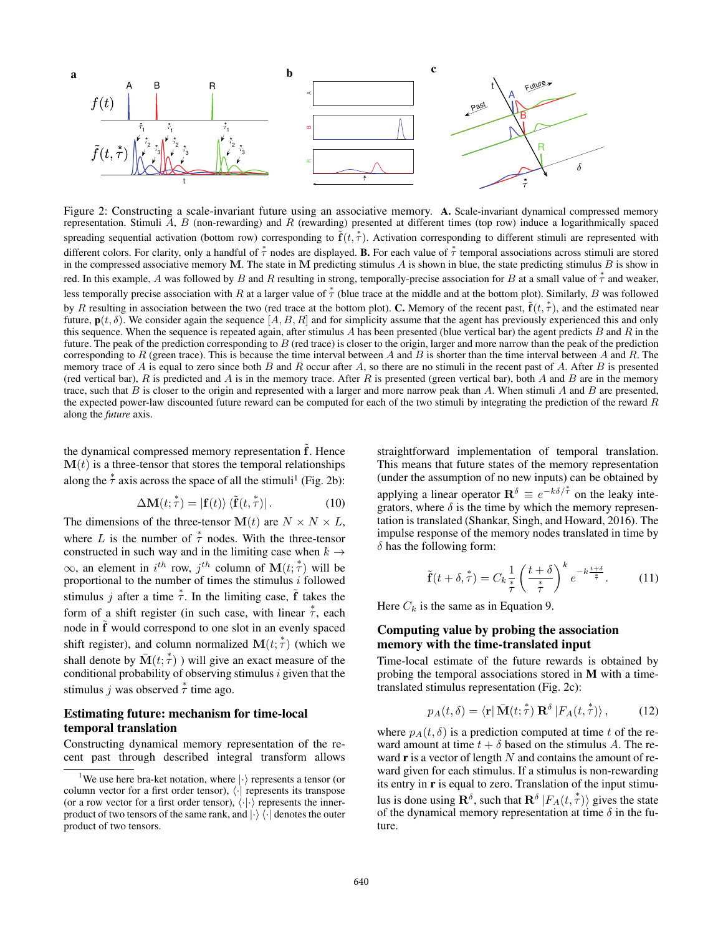

Figure 2: Constructing a scale-invariant future using an associative memory. A. Scale-invariant dynamical compressed memory representation. Stimuli  $A$ ,  $B$  (non-rewarding) and  $R$  (rewarding) presented at different times (top row) induce a logarithmically spaced spreading sequential activation (bottom row) corresponding to  $\tilde{\bf f}(t, \dot{\tau})$ . Activation corresponding to different stimuli are represented with different colors. For clarity, only a handful of  $\stackrel{*}{\tau}$  nodes are displayed. **B.** For each value of  $\stackrel{*}{\tau}$  temporal associations across stimuli are stored in the compressed associative memory **M**. The state in **M** predicting stimulus A is shown in blue, the state predicting stimulus B is show in red. In this example, A was followed by B and R resulting in strong, temporally-precise association for B at a small value of  $\overset{*}{\tau}$  and weaker, less temporally precise association with R at a larger value of  $\overset{*}{\tau}$  (blue trace at the middle and at the bottom plot). Similarly, B was followed by R resulting in association between the two (red trace at the bottom plot). C. Memory of the recent past,  $\tilde{\mathbf{f}}(t, \dot{\tau})$ , and the estimated near future,  $\mathbf{p}(t, \delta)$ . We consider again the sequence  $[A, B, R]$  and for simplicity assume that the agent has previously experienced this and only this sequence. When the sequence is repeated again, after stimulus  $A$  has been presented (blue vertical bar) the agent predicts  $B$  and  $R$  in the future. The peak of the prediction corresponding to  $B$  (red trace) is closer to the origin, larger and more narrow than the peak of the prediction corresponding to R (green trace). This is because the time interval between A and B is shorter than the time interval between A and R. The memory trace of A is equal to zero since both B and R occur after A, so there are no stimuli in the recent past of A. After B is presented (red vertical bar),  $R$  is predicted and  $A$  is in the memory trace. After  $R$  is presented (green vertical bar), both  $A$  and  $B$  are in the memory trace, such that  $B$  is closer to the origin and represented with a larger and more narrow peak than  $A$ . When stimuli  $A$  and  $B$  are presented, the expected power-law discounted future reward can be computed for each of the two stimuli by integrating the prediction of the reward  $R$ along the *future* axis.

the dynamical compressed memory representation f. Hence  $M(t)$  is a three-tensor that stores the temporal relationships along the  $\stackrel{*}{\tau}$  axis across the space of all the stimuli<sup>1</sup> (Fig. 2b):

$$
\Delta \mathbf{M}(t; \tau) = |\mathbf{f}(t)\rangle \langle \tilde{\mathbf{f}}(t, \tau)|. \tag{10}
$$

The dimensions of the three-tensor  $\mathbf{M}(t)$  are  $N \times N \times L$ , where L is the number of  $\stackrel{*}{\tau}$  nodes. With the three-tensor constructed in such way and in the limiting case when  $k \rightarrow$  $\infty$ , an element in  $i^{th}$  row,  $j^{th}$  column of  $\mathbf{M}(t; \tau)$  will be proportional to the number of times the stimulus *i* followed stimulus j after a time  $\overset{*}{\tau}$ . In the limiting case,  $\tilde{f}$  takes the form of a shift register (in such case, with linear  $\overset{*}{\tau}$ , each node in ˜**<sup>f</sup>** would correspond to one slot in an evenly spaced shift register), and column normalized  $\mathbf{M}(t; \tau)$  (which we shall denote by  $\mathbf{M}(t; \tau)$ ) will give an appear magnetic density shall denote by  $\bar{M}(t; \dot{\tau})$  ) will give an exact measure of the conditional probability of observing stimulus *i* given that the conditional probability of observing stimulus  $i$  given that the stimulus *j* was observed  $\overset{*}{\tau}$  time ago.

# Estimating future: mechanism for time-local temporal translation

Constructing dynamical memory representation of the recent past through described integral transform allows

straightforward implementation of temporal translation. This means that future states of the memory representation (under the assumption of no new inputs) can be obtained by applying a linear operator  $\mathbf{R}^{\delta} \equiv e^{-k\delta/\tau}$  on the leaky integrators, where  $\delta$  is the time by which the memory representation is translated (Shankar, Singh, and Howard, 2016). The impulse response of the memory nodes translated in time by  $\delta$  has the following form:

$$
\tilde{\mathbf{f}}(t+\delta,\overset{*}{\tau}) = C_k \frac{1}{\tau} \left(\frac{t+\delta}{\overset{*}{\tau}}\right)^k e^{-k\frac{t+\delta}{\overset{*}{\tau}}}.
$$
 (11)

Here  $C_k$  is the same as in Equation 9.

# Computing value by probing the association memory with the time-translated input

Time-local estimate of the future rewards is obtained by probing the temporal associations stored in M with a timetranslated stimulus representation (Fig. 2c):

$$
p_A(t,\delta) = \langle \mathbf{r} | \bar{\mathbf{M}}(t; \overset{*}{\tau}) \mathbf{R}^{\delta} | F_A(t, \overset{*}{\tau}) \rangle , \qquad (12)
$$

where  $p_A(t, \delta)$  is a prediction computed at time t of the reward amount at time  $t + \delta$  based on the stimulus A. The reward  $\bf{r}$  is a vector of length N and contains the amount of reward given for each stimulus. If a stimulus is non-rewarding its entry in r is equal to zero. Translation of the input stimulus is done using  $\mathbf{R}^{\delta}$ , such that  $\mathbf{R}^{\delta} |F_A(t, \tau) \rangle$  gives the state of the dynamical memory representation at time  $\delta$  in the fuof the dynamical memory representation at time  $\delta$  in the future.

<sup>&</sup>lt;sup>1</sup>We use here bra-ket notation, where  $|\cdot\rangle$  represents a tensor (or column vector for a first order tensor),  $\langle \cdot |$  represents its transpose (or a row vector for a first order tensor),  $\langle \cdot | \cdot \rangle$  represents the innerproduct of two tensors of the same rank, and  $\ket{\cdot}$   $\bra{\cdot}$  denotes the outer product of two tensors.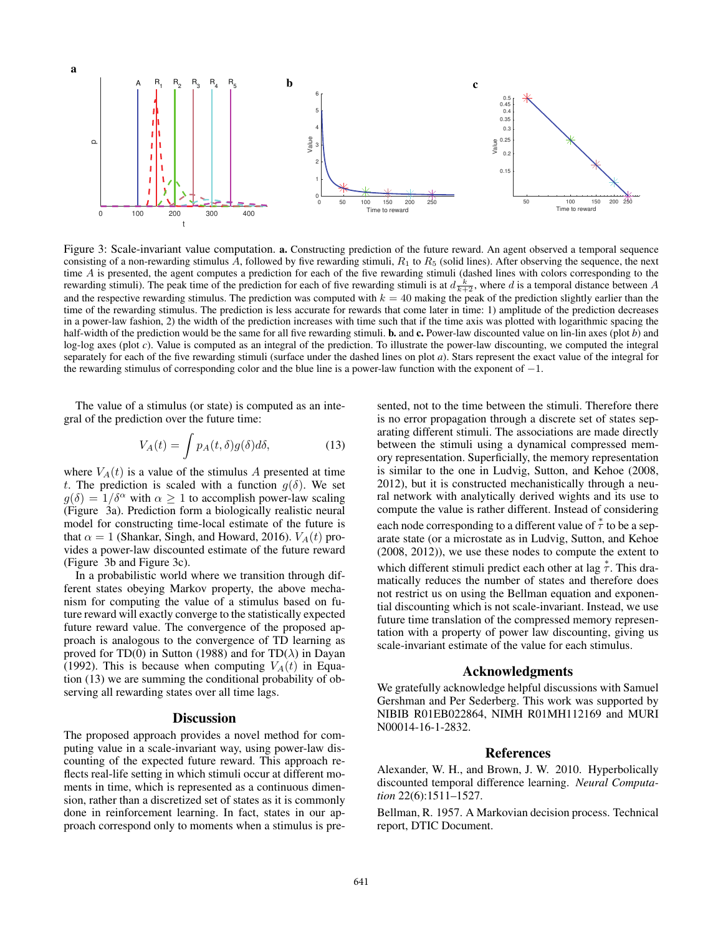

Figure 3: Scale-invariant value computation. a. Constructing prediction of the future reward. An agent observed a temporal sequence consisting of a non-rewarding stimulus A, followed by five rewarding stimuli,  $R_1$  to  $R_5$  (solid lines). After observing the sequence, the next time A is presented, the agent computes a prediction for each of the five rewarding stimuli (dashed lines with colors corresponding to the rewarding stimuli). The peak time of the prediction for each of five rewarding stimuli is at  $d \frac{k}{k+2}$ , where d is a temporal distance between A and the respective rewarding stimulus. The prediction was computed with  $k = 40$  making the peak of the prediction slightly earlier than the time of the rewarding stimulus. The prediction is less accurate for rewards that come later in time: 1) amplitude of the prediction decreases in a power-law fashion, 2) the width of the prediction increases with time such that if the time axis was plotted with logarithmic spacing the half-width of the prediction would be the same for all five rewarding stimuli. **b.** and **c.** Power-law discounted value on lin-lin axes (plot *b*) and log-log axes (plot *c*). Value is computed as an integral of the prediction. To illustrate the power-law discounting, we computed the integral separately for each of the five rewarding stimuli (surface under the dashed lines on plot *a*). Stars represent the exact value of the integral for the rewarding stimulus of corresponding color and the blue line is a power-law function with the exponent of −1.

The value of a stimulus (or state) is computed as an integral of the prediction over the future time:

$$
V_A(t) = \int p_A(t,\delta)g(\delta)d\delta,
$$
 (13)

where  $V_A(t)$  is a value of the stimulus A presented at time t. The prediction is scaled with a function  $g(\delta)$ . We set  $g(\delta)=1/\delta^{\alpha}$  with  $\alpha \geq 1$  to accomplish power-law scaling (Figure 3a). Prediction form a biologically realistic neural model for constructing time-local estimate of the future is that  $\alpha = 1$  (Shankar, Singh, and Howard, 2016).  $V_A(t)$  provides a power-law discounted estimate of the future reward (Figure 3b and Figure 3c).

In a probabilistic world where we transition through different states obeying Markov property, the above mechanism for computing the value of a stimulus based on future reward will exactly converge to the statistically expected future reward value. The convergence of the proposed approach is analogous to the convergence of TD learning as proved for TD(0) in Sutton (1988) and for TD( $\lambda$ ) in Dayan (1992). This is because when computing  $V_A(t)$  in Equation (13) we are summing the conditional probability of observing all rewarding states over all time lags.

#### **Discussion**

The proposed approach provides a novel method for computing value in a scale-invariant way, using power-law discounting of the expected future reward. This approach reflects real-life setting in which stimuli occur at different moments in time, which is represented as a continuous dimension, rather than a discretized set of states as it is commonly done in reinforcement learning. In fact, states in our approach correspond only to moments when a stimulus is pre-

sented, not to the time between the stimuli. Therefore there is no error propagation through a discrete set of states separating different stimuli. The associations are made directly between the stimuli using a dynamical compressed memory representation. Superficially, the memory representation is similar to the one in Ludvig, Sutton, and Kehoe (2008, 2012), but it is constructed mechanistically through a neural network with analytically derived wights and its use to compute the value is rather different. Instead of considering each node corresponding to a different value of  $\overset{*}{\tau}$  to be a separate state (or a microstate as in Ludvig, Sutton, and Kehoe (2008, 2012)), we use these nodes to compute the extent to which different stimuli predict each other at lag  $\overset{*}{\tau}$ . This dramatically reduces the number of states and therefore does not restrict us on using the Bellman equation and exponential discounting which is not scale-invariant. Instead, we use future time translation of the compressed memory representation with a property of power law discounting, giving us scale-invariant estimate of the value for each stimulus.

#### Acknowledgments

We gratefully acknowledge helpful discussions with Samuel Gershman and Per Sederberg. This work was supported by NIBIB R01EB022864, NIMH R01MH112169 and MURI N00014-16-1-2832.

#### References

Alexander, W. H., and Brown, J. W. 2010. Hyperbolically discounted temporal difference learning. *Neural Computation* 22(6):1511–1527.

Bellman, R. 1957. A Markovian decision process. Technical report, DTIC Document.